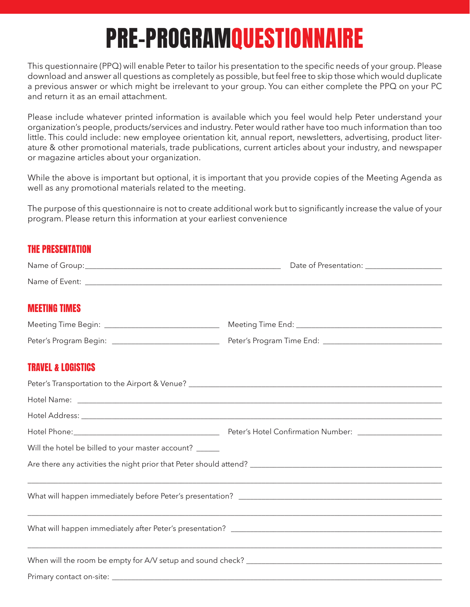## PRE-PROGRAMQUESTIONNAIRE

This questionnaire (PPQ) will enable Peter to tailor his presentation to the specific needs of your group. Please download and answer all questions as completely as possible, but feel free to skip those which would duplicate a previous answer or which might be irrelevant to your group. You can either complete the PPQ on your PC and return it as an email attachment.

Please include whatever printed information is available which you feel would help Peter understand your organization's people, products/services and industry. Peter would rather have too much information than too little. This could include: new employee orientation kit, annual report, newsletters, advertising, product literature & other promotional materials, trade publications, current articles about your industry, and newspaper or magazine articles about your organization.

While the above is important but optional, it is important that you provide copies of the Meeting Agenda as well as any promotional materials related to the meeting.

The purpose of this questionnaire is not to create additional work but to significantly increase the value of your program. Please return this information at your earliest convenience

## THE PRESENTATION

|                                                        | Date of Presentation: _____________________ |
|--------------------------------------------------------|---------------------------------------------|
|                                                        |                                             |
| <b>MEETING TIMES</b>                                   |                                             |
| Meeting Time Begin: __________________________________ |                                             |
|                                                        |                                             |
| <b>TRAVEL &amp; LOGISTICS</b>                          |                                             |
|                                                        |                                             |
|                                                        |                                             |
|                                                        |                                             |
|                                                        |                                             |
| Will the hotel be billed to your master account? _____ |                                             |
|                                                        |                                             |
|                                                        |                                             |
|                                                        |                                             |
|                                                        |                                             |
|                                                        |                                             |
|                                                        |                                             |
|                                                        |                                             |
|                                                        |                                             |